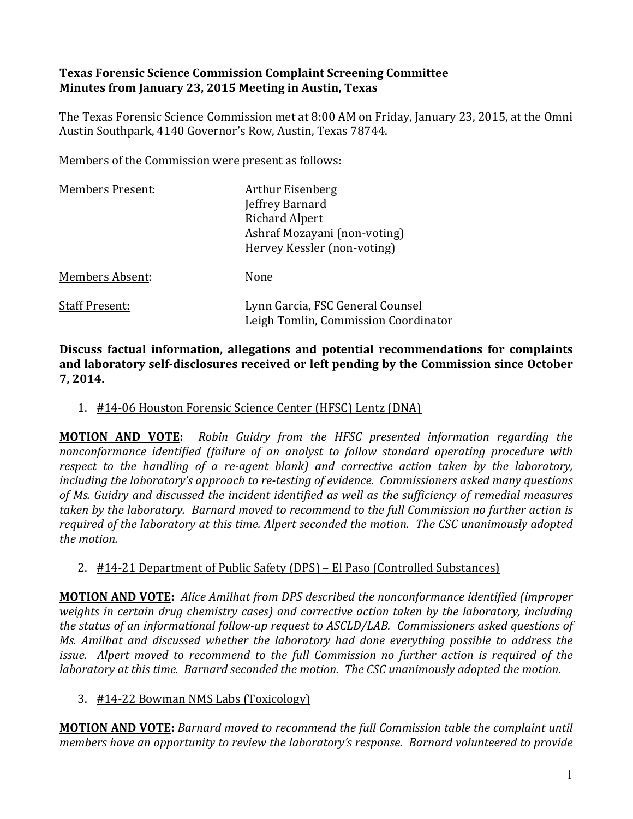## **Texas Forensic Science Commission Complaint Screening Committee Minutes from January 23, 2015 Meeting in Austin, Texas**

The Texas Forensic Science Commission met at 8:00 AM on Friday, January 23, 2015, at the Omni Austin Southpark, 4140 Governor's Row, Austin, Texas 78744.

Members of the Commission were present as follows:

| <b>Members Present:</b> | Arthur Eisenberg<br>Jeffrey Barnard<br><b>Richard Alpert</b><br>Ashraf Mozayani (non-voting)<br>Hervey Kessler (non-voting) |
|-------------------------|-----------------------------------------------------------------------------------------------------------------------------|
| <b>Members Absent:</b>  | None                                                                                                                        |
| <b>Staff Present:</b>   | Lynn Garcia, FSC General Counsel<br>Leigh Tomlin, Commission Coordinator                                                    |

Discuss factual information, allegations and potential recommendations for complaints and laboratory self-disclosures received or left pending by the Commission since October **7, 2014.**

1. #14-06 Houston Forensic Science Center (HFSC) Lentz (DNA)

**MOTION AND VOTE:** Robin Guidry from the HFSC presented information regarding the *nonconformance identified (failure of an analyst to follow standard operating procedure with respect* to the handling of a re-agent blank) and corrective action taken by the laboratory, *including the laboratory's approach to re-testing of evidence. Commissioners asked many questions* of Ms. Guidry and discussed the incident identified as well as the sufficiency of remedial measures *taken* by the laboratory. Barnard moved to recommend to the full Commission no further action is required of the laboratory at this time. Alpert seconded the motion. The CSC unanimously adopted *the motion.* 

## 2. #14-21 Department of Public Safety (DPS) – El Paso (Controlled Substances)

**MOTION AND VOTE:** Alice Amilhat from DPS described the nonconformance identified (improper *weights* in certain drug chemistry cases) and corrective action taken by the laboratory, including the status of an informational follow-up request to ASCLD/LAB. Commissioners asked questions of *Ms.* Amilhat and discussed whether the laboratory had done everything possible to address the *issue.* Alpert moved to recommend to the full Commission no further action is required of the *laboratory* at this time. Barnard seconded the motion. The CSC unanimously adopted the motion.

## 3. #14-22 Bowman NMS Labs (Toxicology)

**MOTION AND VOTE:** Barnard moved to recommend the full Commission table the complaint until *members have an opportunity to review the laboratory's response. Barnard volunteered to provide*